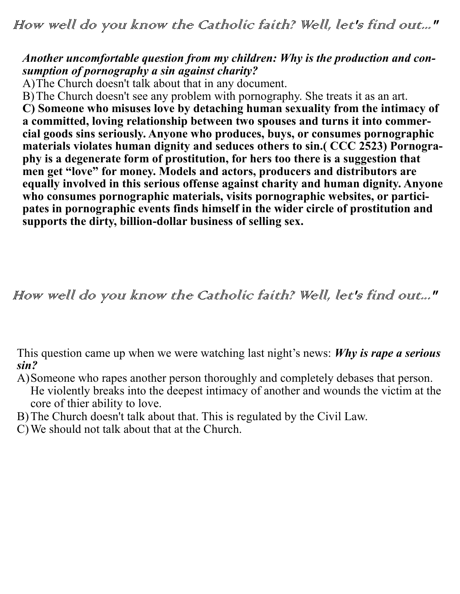How well do you know the Catholic faith? Well, let's find out..."

## *Another uncomfortable question from my children: Why is the production and consumption of pornography a sin against charity?*

A)The Church doesn't talk about that in any document.

B)The Church doesn't see any problem with pornography. She treats it as an art. **C) Someone who misuses love by detaching human sexuality from the intimacy of a committed, loving relationship between two spouses and turns it into commercial goods sins seriously. Anyone who produces, buys, or consumes pornographic materials violates human dignity and seduces others to sin.( CCC 2523) Pornography is a degenerate form of prostitution, for hers too there is a suggestion that men get "love" for money. Models and actors, producers and distributors are equally involved in this serious offense against charity and human dignity. Anyone**  who consumes pornographic materials, visits pornographic websites, or partici**pates in pornographic events finds himself in the wider circle of prostitution and supports the dirty, billion-dollar business of selling sex.**

How well do you know the Catholic faith? Well, let's find out..."

This question came up when we were watching last night's news: *Why is rape a serious sin?*

- A)Someone who rapes another person thoroughly and completely debases that person. He violently breaks into the deepest intimacy of another and wounds the victim at the core of thier ability to love.
- B)The Church doesn't talk about that. This is regulated by the Civil Law.
- C)We should not talk about that at the Church.